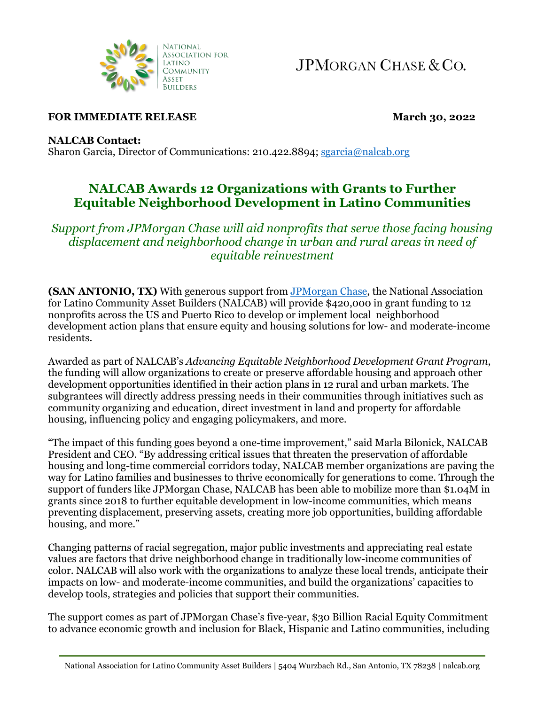

JPMORGAN CHASE & CO.

## **FOR IMMEDIATE RELEASE March 30, 2022**

**NALCAB Contact:**

Sharon Garcia, Director of Communications: 210.422.8894[; sgarcia@nalcab.org](mailto:sgarcia@nalcab.org)

## **NALCAB Awards 12 Organizations with Grants to Further Equitable Neighborhood Development in Latino Communities**

*Support from JPMorgan Chase will aid nonprofits that serve those facing housing displacement and neighborhood change in urban and rural areas in need of equitable reinvestment*

**(SAN ANTONIO, TX)** With generous support from [JPMorgan Chase,](https://www.jpmorganchase.com/impact) the National Association for Latino Community Asset Builders (NALCAB) will provide \$420,000 in grant funding to 12 nonprofits across the US and Puerto Rico to develop or implement local neighborhood development action plans that ensure equity and housing solutions for low- and moderate-income residents.

Awarded as part of NALCAB's *Advancing Equitable Neighborhood Development Grant Program*, the funding will allow organizations to create or preserve affordable housing and approach other development opportunities identified in their action plans in 12 rural and urban markets. The subgrantees will directly address pressing needs in their communities through initiatives such as community organizing and education, direct investment in land and property for affordable housing, influencing policy and engaging policymakers, and more.

"The impact of this funding goes beyond a one-time improvement," said Marla Bilonick, NALCAB President and CEO. "By addressing critical issues that threaten the preservation of affordable housing and long-time commercial corridors today, NALCAB member organizations are paving the way for Latino families and businesses to thrive economically for generations to come. Through the support of funders like JPMorgan Chase, NALCAB has been able to mobilize more than \$1.04M in grants since 2018 to further equitable development in low-income communities, which means preventing displacement, preserving assets, creating more job opportunities, building affordable housing, and more."

Changing patterns of racial segregation, major public investments and appreciating real estate values are factors that drive neighborhood change in traditionally low-income communities of color. NALCAB will also work with the organizations to analyze these local trends, anticipate their impacts on low- and moderate-income communities, and build the organizations' capacities to develop tools, strategies and policies that support their communities.

The support comes as part of JPMorgan Chase's five-year, \$30 Billion Racial Equity Commitment to advance economic growth and inclusion for Black, Hispanic and Latino communities, including